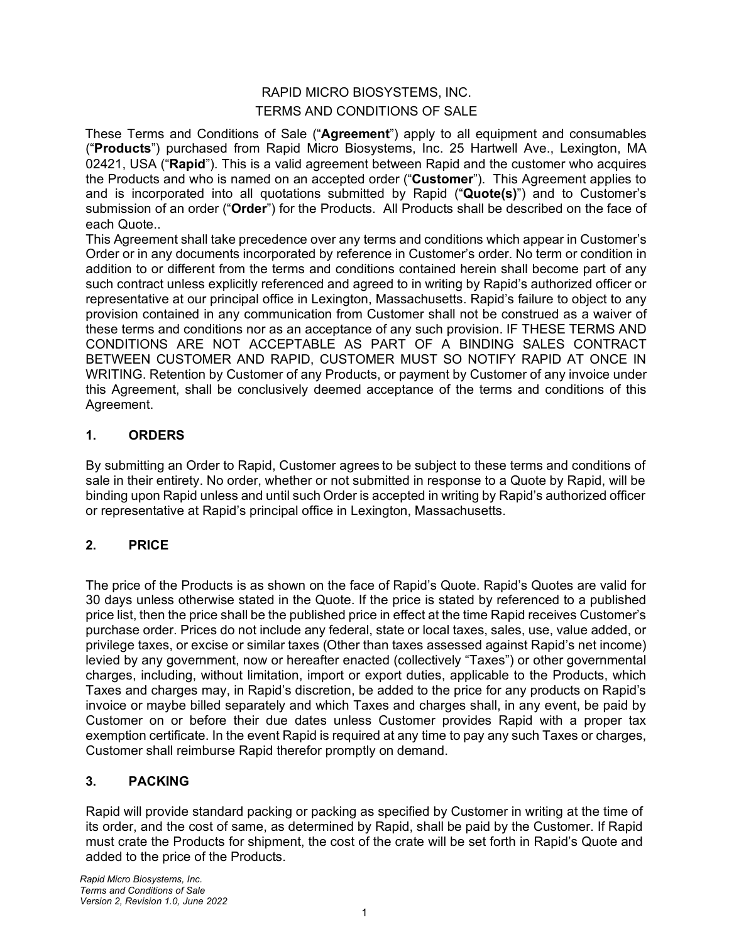# RAPID MICRO BIOSYSTEMS, INC. TERMS AND CONDITIONS OF SALE

These Terms and Conditions of Sale ("**Agreement**") apply to all equipment and consumables ("**Products**") purchased from Rapid Micro Biosystems, Inc. 25 Hartwell Ave., Lexington, MA 02421, USA ("**Rapid**"). This is a valid agreement between Rapid and the customer who acquires the Products and who is named on an accepted order ("**Customer**"). This Agreement applies to and is incorporated into all quotations submitted by Rapid ("**Quote(s)**") and to Customer's submission of an order ("**Order**") for the Products. All Products shall be described on the face of each Quote..

This Agreement shall take precedence over any terms and conditions which appear in Customer's Order or in any documents incorporated by reference in Customer's order. No term or condition in addition to or different from the terms and conditions contained herein shall become part of any such contract unless explicitly referenced and agreed to in writing by Rapid's authorized officer or representative at our principal office in Lexington, Massachusetts. Rapid's failure to object to any provision contained in any communication from Customer shall not be construed as a waiver of these terms and conditions nor as an acceptance of any such provision. IF THESE TERMS AND CONDITIONS ARE NOT ACCEPTABLE AS PART OF A BINDING SALES CONTRACT BETWEEN CUSTOMER AND RAPID, CUSTOMER MUST SO NOTIFY RAPID AT ONCE IN WRITING. Retention by Customer of any Products, or payment by Customer of any invoice under this Agreement, shall be conclusively deemed acceptance of the terms and conditions of this Agreement.

### **1. ORDERS**

By submitting an Order to Rapid, Customer agrees to be subject to these terms and conditions of sale in their entirety. No order, whether or not submitted in response to a Quote by Rapid, will be binding upon Rapid unless and until such Order is accepted in writing by Rapid's authorized officer or representative at Rapid's principal office in Lexington, Massachusetts.

# **2. PRICE**

The price of the Products is as shown on the face of Rapid's Quote. Rapid's Quotes are valid for 30 days unless otherwise stated in the Quote. If the price is stated by referenced to a published price list, then the price shall be the published price in effect at the time Rapid receives Customer's purchase order. Prices do not include any federal, state or local taxes, sales, use, value added, or privilege taxes, or excise or similar taxes (Other than taxes assessed against Rapid's net income) levied by any government, now or hereafter enacted (collectively "Taxes") or other governmental charges, including, without limitation, import or export duties, applicable to the Products, which Taxes and charges may, in Rapid's discretion, be added to the price for any products on Rapid's invoice or maybe billed separately and which Taxes and charges shall, in any event, be paid by Customer on or before their due dates unless Customer provides Rapid with a proper tax exemption certificate. In the event Rapid is required at any time to pay any such Taxes or charges, Customer shall reimburse Rapid therefor promptly on demand.

# **3. PACKING**

Rapid will provide standard packing or packing as specified by Customer in writing at the time of its order, and the cost of same, as determined by Rapid, shall be paid by the Customer. If Rapid must crate the Products for shipment, the cost of the crate will be set forth in Rapid's Quote and added to the price of the Products.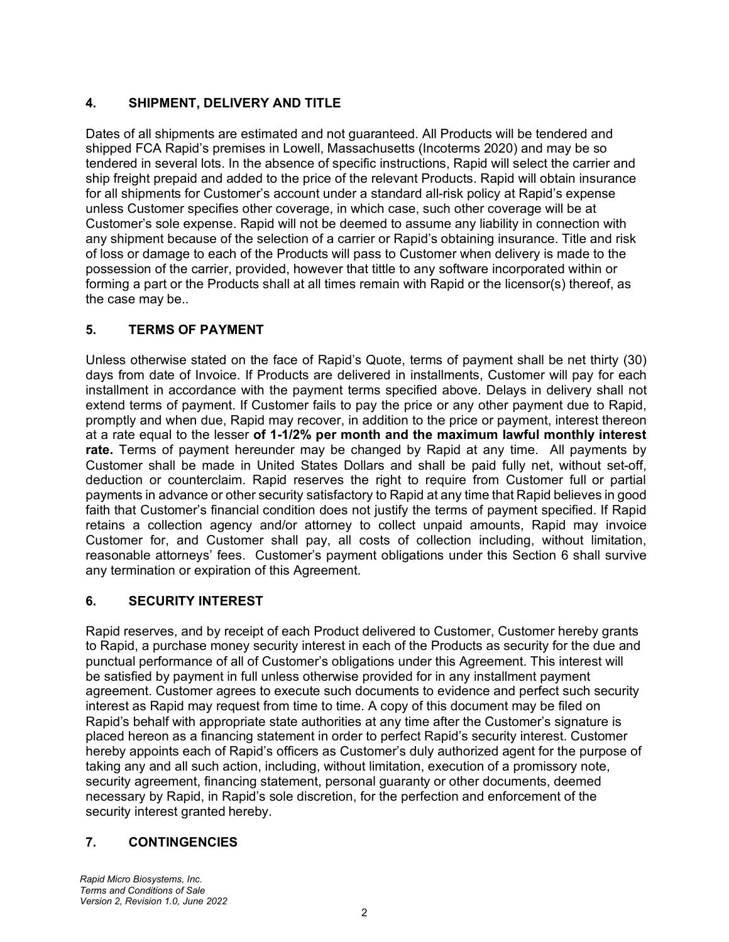### **4. SHIPMENT, DELIVERY AND TITLE**

Dates of all shipments are estimated and not guaranteed. All Products will be tendered and shipped FCA Rapid's premises in Lowell, Massachusetts (Incoterms 2020) and may be so tendered in several lots. In the absence of specific instructions, Rapid will select the carrier and ship freight prepaid and added to the price of the relevant Products. Rapid will obtain insurance for all shipments for Customer's account under a standard all-risk policy at Rapid's expense unless Customer specifies other coverage, in which case, such other coverage will be at Customer's sole expense. Rapid will not be deemed to assume any liability in connection with any shipment because of the selection of a carrier or Rapid's obtaining insurance. Title and risk of loss or damage to each of the Products will pass to Customer when delivery is made to the possession of the carrier, provided, however that tittle to any software incorporated within or forming a part or the Products shall at all times remain with Rapid or the licensor(s) thereof, as the case may be..

### **5. TERMS OF PAYMENT**

Unless otherwise stated on the face of Rapid's Quote, terms of payment shall be net thirty (30) days from date of Invoice. If Products are delivered in installments, Customer will pay for each installment in accordance with the payment terms specified above. Delays in delivery shall not extend terms of payment. If Customer fails to pay the price or any other payment due to Rapid, promptly and when due, Rapid may recover, in addition to the price or payment, interest thereon at a rate equal to the lesser **of 1-1/2% per month and the maximum lawful monthly interest rate.** Terms of payment hereunder may be changed by Rapid at any time. All payments by Customer shall be made in United States Dollars and shall be paid fully net, without set-off, deduction or counterclaim. Rapid reserves the right to require from Customer full or partial payments in advance or other security satisfactory to Rapid at any time that Rapid believes in good faith that Customer's financial condition does not justify the terms of payment specified. If Rapid retains a collection agency and/or attorney to collect unpaid amounts, Rapid may invoice Customer for, and Customer shall pay, all costs of collection including, without limitation, reasonable attorneys' fees. Customer's payment obligations under this Section 6 shall survive any termination or expiration of this Agreement.

# **6. SECURITY INTEREST**

Rapid reserves, and by receipt of each Product delivered to Customer, Customer hereby grants to Rapid, a purchase money security interest in each of the Products as security for the due and punctual performance of all of Customer's obligations under this Agreement. This interest will be satisfied by payment in full unless otherwise provided for in any installment payment agreement. Customer agrees to execute such documents to evidence and perfect such security interest as Rapid may request from time to time. A copy of this document may be filed on Rapid's behalf with appropriate state authorities at any time after the Customer's signature is placed hereon as a financing statement in order to perfect Rapid's security interest. Customer hereby appoints each of Rapid's officers as Customer's duly authorized agent for the purpose of taking any and all such action, including, without limitation, execution of a promissory note, security agreement, financing statement, personal guaranty or other documents, deemed necessary by Rapid, in Rapid's sole discretion, for the perfection and enforcement of the security interest granted hereby.

# **7. CONTINGENCIES**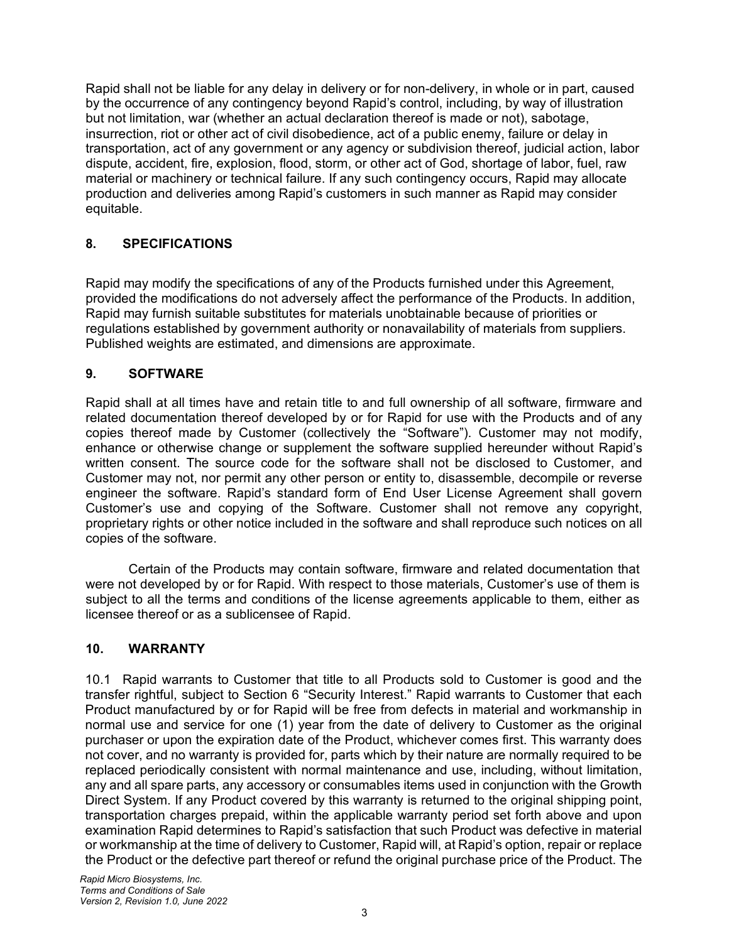Rapid shall not be liable for any delay in delivery or for non-delivery, in whole or in part, caused by the occurrence of any contingency beyond Rapid's control, including, by way of illustration but not limitation, war (whether an actual declaration thereof is made or not), sabotage, insurrection, riot or other act of civil disobedience, act of a public enemy, failure or delay in transportation, act of any government or any agency or subdivision thereof, judicial action, labor dispute, accident, fire, explosion, flood, storm, or other act of God, shortage of labor, fuel, raw material or machinery or technical failure. If any such contingency occurs, Rapid may allocate production and deliveries among Rapid's customers in such manner as Rapid may consider equitable.

### **8. SPECIFICATIONS**

Rapid may modify the specifications of any of the Products furnished under this Agreement, provided the modifications do not adversely affect the performance of the Products. In addition, Rapid may furnish suitable substitutes for materials unobtainable because of priorities or regulations established by government authority or nonavailability of materials from suppliers. Published weights are estimated, and dimensions are approximate.

### **9. SOFTWARE**

Rapid shall at all times have and retain title to and full ownership of all software, firmware and related documentation thereof developed by or for Rapid for use with the Products and of any copies thereof made by Customer (collectively the "Software"). Customer may not modify, enhance or otherwise change or supplement the software supplied hereunder without Rapid's written consent. The source code for the software shall not be disclosed to Customer, and Customer may not, nor permit any other person or entity to, disassemble, decompile or reverse engineer the software. Rapid's standard form of End User License Agreement shall govern Customer's use and copying of the Software. Customer shall not remove any copyright, proprietary rights or other notice included in the software and shall reproduce such notices on all copies of the software.

Certain of the Products may contain software, firmware and related documentation that were not developed by or for Rapid. With respect to those materials, Customer's use of them is subject to all the terms and conditions of the license agreements applicable to them, either as licensee thereof or as a sublicensee of Rapid.

### **10. WARRANTY**

10.1 Rapid warrants to Customer that title to all Products sold to Customer is good and the transfer rightful, subject to Section 6 "Security Interest." Rapid warrants to Customer that each Product manufactured by or for Rapid will be free from defects in material and workmanship in normal use and service for one (1) year from the date of delivery to Customer as the original purchaser or upon the expiration date of the Product, whichever comes first. This warranty does not cover, and no warranty is provided for, parts which by their nature are normally required to be replaced periodically consistent with normal maintenance and use, including, without limitation, any and all spare parts, any accessory or consumables items used in conjunction with the Growth Direct System. If any Product covered by this warranty is returned to the original shipping point, transportation charges prepaid, within the applicable warranty period set forth above and upon examination Rapid determines to Rapid's satisfaction that such Product was defective in material or workmanship at the time of delivery to Customer, Rapid will, at Rapid's option, repair or replace the Product or the defective part thereof or refund the original purchase price of the Product. The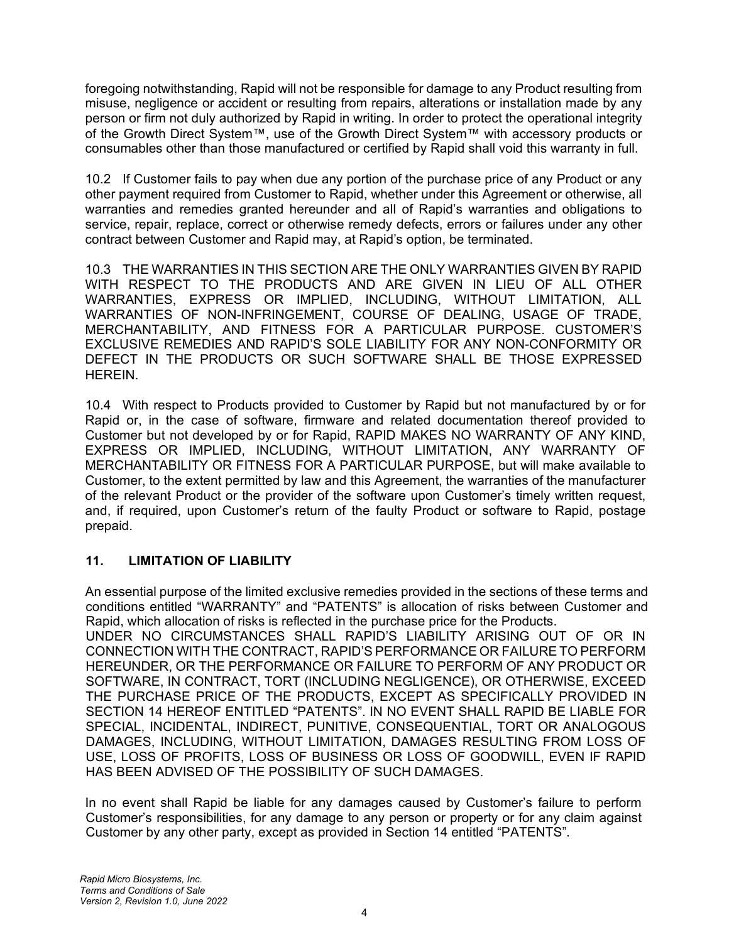foregoing notwithstanding, Rapid will not be responsible for damage to any Product resulting from misuse, negligence or accident or resulting from repairs, alterations or installation made by any person or firm not duly authorized by Rapid in writing. In order to protect the operational integrity of the Growth Direct System™, use of the Growth Direct System™ with accessory products or consumables other than those manufactured or certified by Rapid shall void this warranty in full.

10.2 If Customer fails to pay when due any portion of the purchase price of any Product or any other payment required from Customer to Rapid, whether under this Agreement or otherwise, all warranties and remedies granted hereunder and all of Rapid's warranties and obligations to service, repair, replace, correct or otherwise remedy defects, errors or failures under any other contract between Customer and Rapid may, at Rapid's option, be terminated.

10.3 THE WARRANTIES IN THIS SECTION ARE THE ONLY WARRANTIES GIVEN BY RAPID WITH RESPECT TO THE PRODUCTS AND ARE GIVEN IN LIEU OF ALL OTHER WARRANTIES, EXPRESS OR IMPLIED, INCLUDING, WITHOUT LIMITATION, ALL WARRANTIES OF NON-INFRINGEMENT, COURSE OF DEALING, USAGE OF TRADE, MERCHANTABILITY, AND FITNESS FOR A PARTICULAR PURPOSE. CUSTOMER'S EXCLUSIVE REMEDIES AND RAPID'S SOLE LIABILITY FOR ANY NON-CONFORMITY OR DEFECT IN THE PRODUCTS OR SUCH SOFTWARE SHALL BE THOSE EXPRESSED HEREIN.

10.4 With respect to Products provided to Customer by Rapid but not manufactured by or for Rapid or, in the case of software, firmware and related documentation thereof provided to Customer but not developed by or for Rapid, RAPID MAKES NO WARRANTY OF ANY KIND, EXPRESS OR IMPLIED, INCLUDING, WITHOUT LIMITATION, ANY WARRANTY OF MERCHANTABILITY OR FITNESS FOR A PARTICULAR PURPOSE, but will make available to Customer, to the extent permitted by law and this Agreement, the warranties of the manufacturer of the relevant Product or the provider of the software upon Customer's timely written request, and, if required, upon Customer's return of the faulty Product or software to Rapid, postage prepaid.

### **11. LIMITATION OF LIABILITY**

An essential purpose of the limited exclusive remedies provided in the sections of these terms and conditions entitled "WARRANTY" and "PATENTS" is allocation of risks between Customer and Rapid, which allocation of risks is reflected in the purchase price for the Products.

UNDER NO CIRCUMSTANCES SHALL RAPID'S LIABILITY ARISING OUT OF OR IN CONNECTION WITH THE CONTRACT, RAPID'S PERFORMANCE OR FAILURE TO PERFORM HEREUNDER, OR THE PERFORMANCE OR FAILURE TO PERFORM OF ANY PRODUCT OR SOFTWARE, IN CONTRACT, TORT (INCLUDING NEGLIGENCE), OR OTHERWISE, EXCEED THE PURCHASE PRICE OF THE PRODUCTS, EXCEPT AS SPECIFICALLY PROVIDED IN SECTION 14 HEREOF ENTITLED "PATENTS". IN NO EVENT SHALL RAPID BE LIABLE FOR SPECIAL, INCIDENTAL, INDIRECT, PUNITIVE, CONSEQUENTIAL, TORT OR ANALOGOUS DAMAGES, INCLUDING, WITHOUT LIMITATION, DAMAGES RESULTING FROM LOSS OF USE, LOSS OF PROFITS, LOSS OF BUSINESS OR LOSS OF GOODWILL, EVEN IF RAPID HAS BEEN ADVISED OF THE POSSIBILITY OF SUCH DAMAGES.

In no event shall Rapid be liable for any damages caused by Customer's failure to perform Customer's responsibilities, for any damage to any person or property or for any claim against Customer by any other party, except as provided in Section 14 entitled "PATENTS".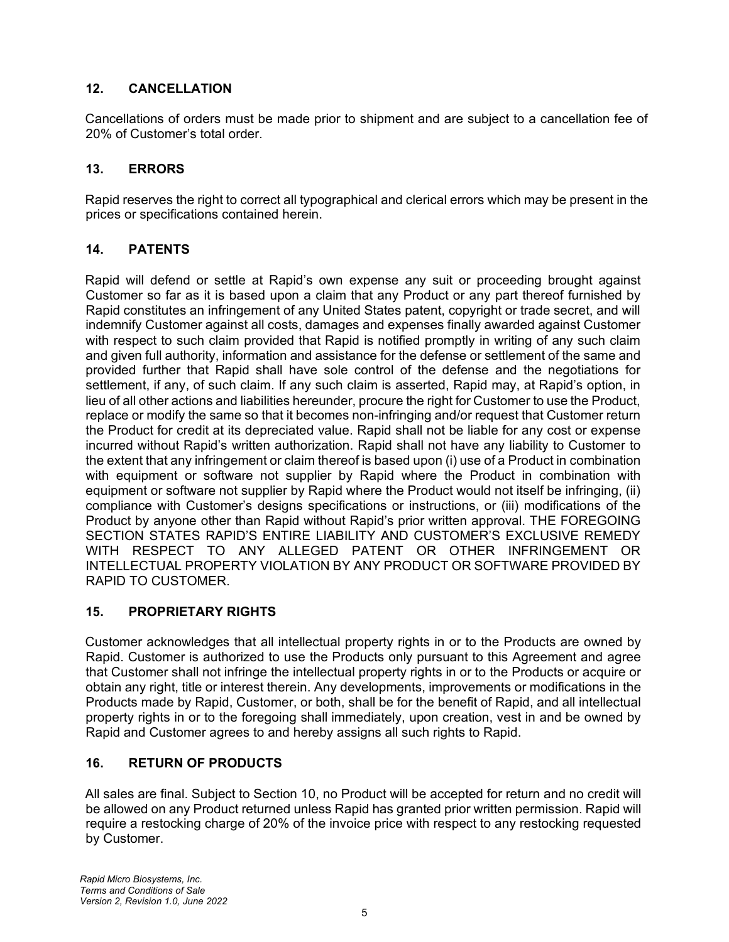## **12. CANCELLATION**

Cancellations of orders must be made prior to shipment and are subject to a cancellation fee of 20% of Customer's total order.

### **13. ERRORS**

Rapid reserves the right to correct all typographical and clerical errors which may be present in the prices or specifications contained herein.

### **14. PATENTS**

Rapid will defend or settle at Rapid's own expense any suit or proceeding brought against Customer so far as it is based upon a claim that any Product or any part thereof furnished by Rapid constitutes an infringement of any United States patent, copyright or trade secret, and will indemnify Customer against all costs, damages and expenses finally awarded against Customer with respect to such claim provided that Rapid is notified promptly in writing of any such claim and given full authority, information and assistance for the defense or settlement of the same and provided further that Rapid shall have sole control of the defense and the negotiations for settlement, if any, of such claim. If any such claim is asserted, Rapid may, at Rapid's option, in lieu of all other actions and liabilities hereunder, procure the right for Customer to use the Product, replace or modify the same so that it becomes non-infringing and/or request that Customer return the Product for credit at its depreciated value. Rapid shall not be liable for any cost or expense incurred without Rapid's written authorization. Rapid shall not have any liability to Customer to the extent that any infringement or claim thereof is based upon (i) use of a Product in combination with equipment or software not supplier by Rapid where the Product in combination with equipment or software not supplier by Rapid where the Product would not itself be infringing, (ii) compliance with Customer's designs specifications or instructions, or (iii) modifications of the Product by anyone other than Rapid without Rapid's prior written approval. THE FOREGOING SECTION STATES RAPID'S ENTIRE LIABILITY AND CUSTOMER'S EXCLUSIVE REMEDY WITH RESPECT TO ANY ALLEGED PATENT OR OTHER INFRINGEMENT OR INTELLECTUAL PROPERTY VIOLATION BY ANY PRODUCT OR SOFTWARE PROVIDED BY RAPID TO CUSTOMER.

### **15. PROPRIETARY RIGHTS**

Customer acknowledges that all intellectual property rights in or to the Products are owned by Rapid. Customer is authorized to use the Products only pursuant to this Agreement and agree that Customer shall not infringe the intellectual property rights in or to the Products or acquire or obtain any right, title or interest therein. Any developments, improvements or modifications in the Products made by Rapid, Customer, or both, shall be for the benefit of Rapid, and all intellectual property rights in or to the foregoing shall immediately, upon creation, vest in and be owned by Rapid and Customer agrees to and hereby assigns all such rights to Rapid.

# **16. RETURN OF PRODUCTS**

All sales are final. Subject to Section 10, no Product will be accepted for return and no credit will be allowed on any Product returned unless Rapid has granted prior written permission. Rapid will require a restocking charge of 20% of the invoice price with respect to any restocking requested by Customer.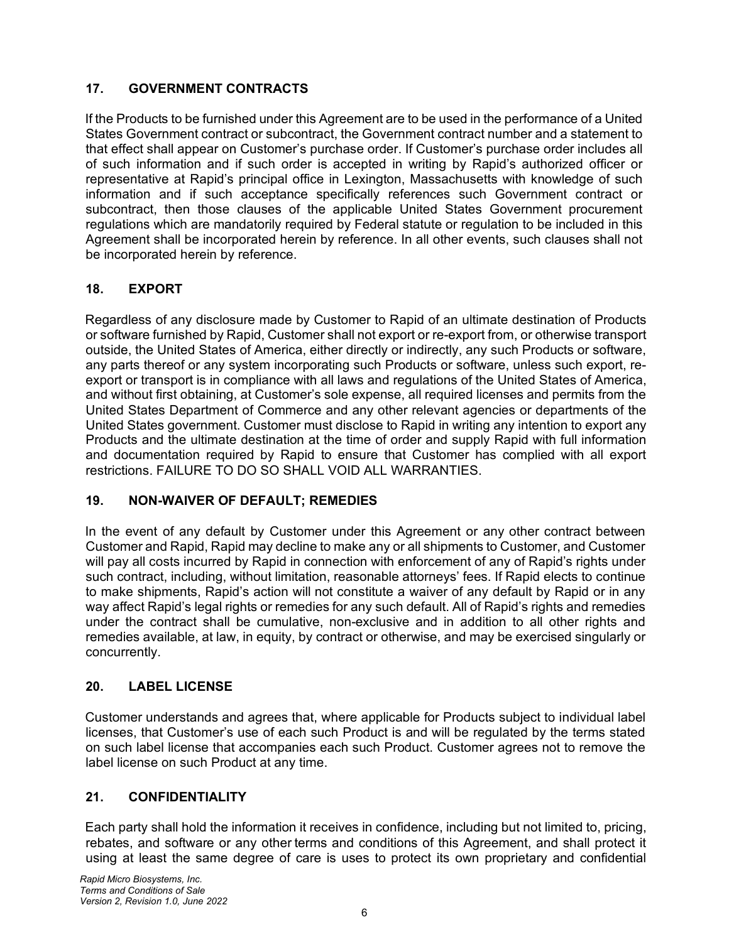## **17. GOVERNMENT CONTRACTS**

If the Products to be furnished under this Agreement are to be used in the performance of a United States Government contract or subcontract, the Government contract number and a statement to that effect shall appear on Customer's purchase order. If Customer's purchase order includes all of such information and if such order is accepted in writing by Rapid's authorized officer or representative at Rapid's principal office in Lexington, Massachusetts with knowledge of such information and if such acceptance specifically references such Government contract or subcontract, then those clauses of the applicable United States Government procurement regulations which are mandatorily required by Federal statute or regulation to be included in this Agreement shall be incorporated herein by reference. In all other events, such clauses shall not be incorporated herein by reference.

# **18. EXPORT**

Regardless of any disclosure made by Customer to Rapid of an ultimate destination of Products or software furnished by Rapid, Customer shall not export or re-export from, or otherwise transport outside, the United States of America, either directly or indirectly, any such Products or software, any parts thereof or any system incorporating such Products or software, unless such export, reexport or transport is in compliance with all laws and regulations of the United States of America, and without first obtaining, at Customer's sole expense, all required licenses and permits from the United States Department of Commerce and any other relevant agencies or departments of the United States government. Customer must disclose to Rapid in writing any intention to export any Products and the ultimate destination at the time of order and supply Rapid with full information and documentation required by Rapid to ensure that Customer has complied with all export restrictions. FAILURE TO DO SO SHALL VOID ALL WARRANTIES.

### **19. NON-WAIVER OF DEFAULT; REMEDIES**

In the event of any default by Customer under this Agreement or any other contract between Customer and Rapid, Rapid may decline to make any or all shipments to Customer, and Customer will pay all costs incurred by Rapid in connection with enforcement of any of Rapid's rights under such contract, including, without limitation, reasonable attorneys' fees. If Rapid elects to continue to make shipments, Rapid's action will not constitute a waiver of any default by Rapid or in any way affect Rapid's legal rights or remedies for any such default. All of Rapid's rights and remedies under the contract shall be cumulative, non-exclusive and in addition to all other rights and remedies available, at law, in equity, by contract or otherwise, and may be exercised singularly or concurrently.

### **20. LABEL LICENSE**

Customer understands and agrees that, where applicable for Products subject to individual label licenses, that Customer's use of each such Product is and will be regulated by the terms stated on such label license that accompanies each such Product. Customer agrees not to remove the label license on such Product at any time.

# **21. CONFIDENTIALITY**

Each party shall hold the information it receives in confidence, including but not limited to, pricing, rebates, and software or any other terms and conditions of this Agreement, and shall protect it using at least the same degree of care is uses to protect its own proprietary and confidential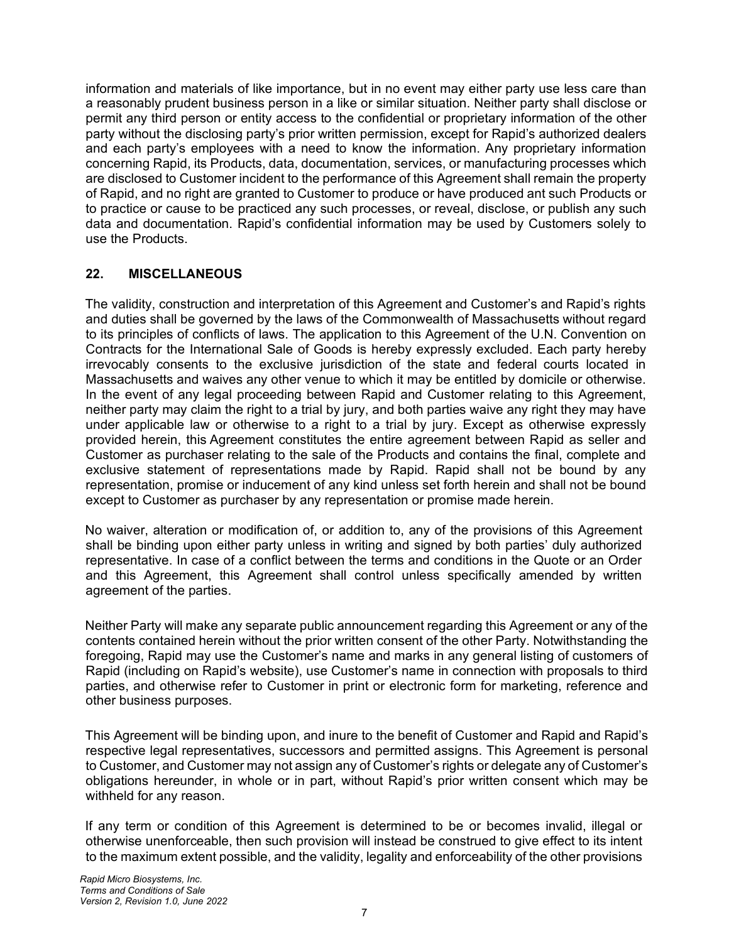information and materials of like importance, but in no event may either party use less care than a reasonably prudent business person in a like or similar situation. Neither party shall disclose or permit any third person or entity access to the confidential or proprietary information of the other party without the disclosing party's prior written permission, except for Rapid's authorized dealers and each party's employees with a need to know the information. Any proprietary information concerning Rapid, its Products, data, documentation, services, or manufacturing processes which are disclosed to Customer incident to the performance of this Agreement shall remain the property of Rapid, and no right are granted to Customer to produce or have produced ant such Products or to practice or cause to be practiced any such processes, or reveal, disclose, or publish any such data and documentation. Rapid's confidential information may be used by Customers solely to use the Products.

#### **22. MISCELLANEOUS**

The validity, construction and interpretation of this Agreement and Customer's and Rapid's rights and duties shall be governed by the laws of the Commonwealth of Massachusetts without regard to its principles of conflicts of laws. The application to this Agreement of the U.N. Convention on Contracts for the International Sale of Goods is hereby expressly excluded. Each party hereby irrevocably consents to the exclusive jurisdiction of the state and federal courts located in Massachusetts and waives any other venue to which it may be entitled by domicile or otherwise. In the event of any legal proceeding between Rapid and Customer relating to this Agreement, neither party may claim the right to a trial by jury, and both parties waive any right they may have under applicable law or otherwise to a right to a trial by jury. Except as otherwise expressly provided herein, this Agreement constitutes the entire agreement between Rapid as seller and Customer as purchaser relating to the sale of the Products and contains the final, complete and exclusive statement of representations made by Rapid. Rapid shall not be bound by any representation, promise or inducement of any kind unless set forth herein and shall not be bound except to Customer as purchaser by any representation or promise made herein.

No waiver, alteration or modification of, or addition to, any of the provisions of this Agreement shall be binding upon either party unless in writing and signed by both parties' duly authorized representative. In case of a conflict between the terms and conditions in the Quote or an Order and this Agreement, this Agreement shall control unless specifically amended by written agreement of the parties.

Neither Party will make any separate public announcement regarding this Agreement or any of the contents contained herein without the prior written consent of the other Party. Notwithstanding the foregoing, Rapid may use the Customer's name and marks in any general listing of customers of Rapid (including on Rapid's website), use Customer's name in connection with proposals to third parties, and otherwise refer to Customer in print or electronic form for marketing, reference and other business purposes.

This Agreement will be binding upon, and inure to the benefit of Customer and Rapid and Rapid's respective legal representatives, successors and permitted assigns. This Agreement is personal to Customer, and Customer may not assign any of Customer's rights or delegate any of Customer's obligations hereunder, in whole or in part, without Rapid's prior written consent which may be withheld for any reason.

If any term or condition of this Agreement is determined to be or becomes invalid, illegal or otherwise unenforceable, then such provision will instead be construed to give effect to its intent to the maximum extent possible, and the validity, legality and enforceability of the other provisions